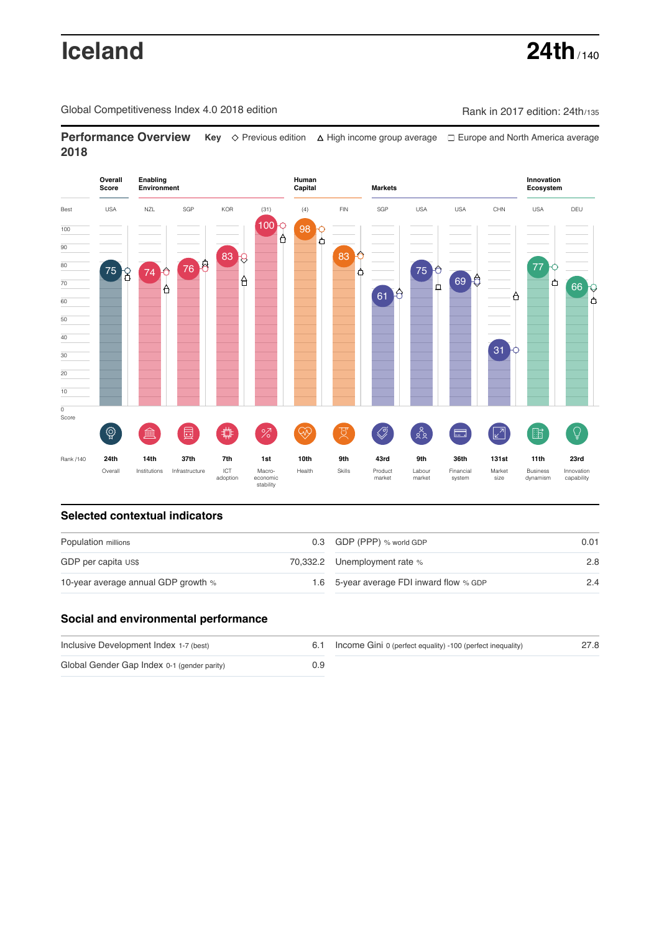# **Iceland 24th**  $140$

Global Competitiveness Index 4.0 2018 edition Company Rank in 2017 edition: 24th/135

**Performance Overview** Key  $\Diamond$  Previous edition ∆ High income group average  $\Box$  Europe and North America average **2018**



# **Selected contextual indicators**

| Population millions                 | 0.3 GDP (PPP) % world GDP                | 0.01 |  |
|-------------------------------------|------------------------------------------|------|--|
| GDP per capita US\$                 | 70,332.2 Unemployment rate %             | 2.8  |  |
| 10-year average annual GDP growth % | 1.6 5-year average FDI inward flow % GDP | 2.4  |  |

# **Social and environmental performance**

| Inclusive Development Index 1-7 (best)      | 6.1 | Income Gini 0 (perfect equality) -100 (perfect inequality) | 27.8 |
|---------------------------------------------|-----|------------------------------------------------------------|------|
| Global Gender Gap Index 0-1 (gender parity) | 0.9 |                                                            |      |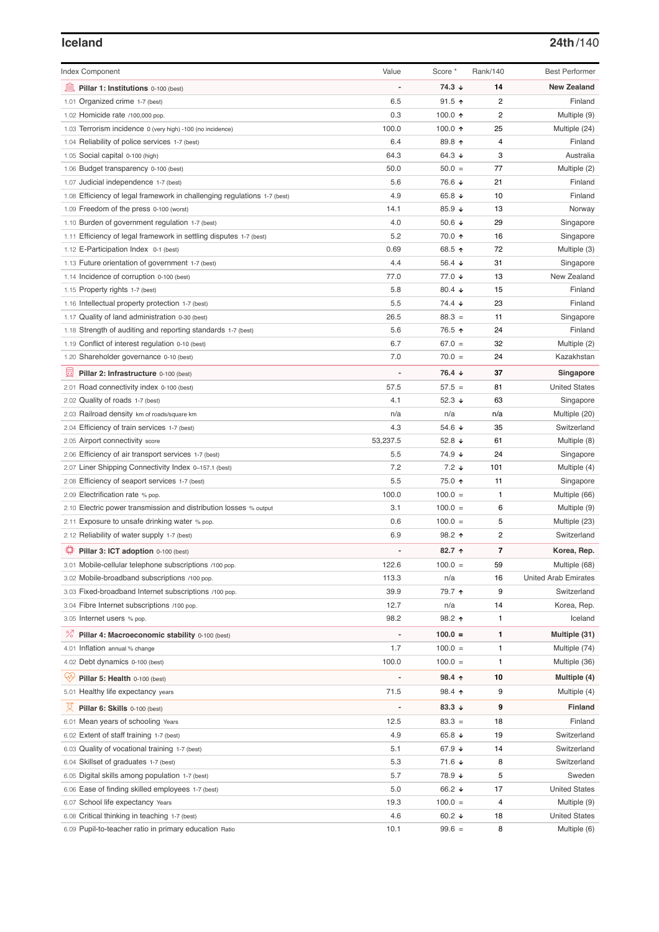### **Iceland 24th**/140

| <b>Index Component</b>                                                   | Value                        | Score *              | Rank/140       | <b>Best Performer</b>       |
|--------------------------------------------------------------------------|------------------------------|----------------------|----------------|-----------------------------|
| Pillar 1: Institutions 0-100 (best)                                      |                              | $74.3 \; \downarrow$ | 14             | <b>New Zealand</b>          |
| 1.01 Organized crime 1-7 (best)                                          | 6.5                          | $91.5$ ↑             | $\overline{2}$ | Finland                     |
| 1.02 Homicide rate /100,000 pop.                                         | 0.3                          | 100.0 $\uparrow$     | $\overline{2}$ | Multiple (9)                |
| 1.03 Terrorism incidence 0 (very high) -100 (no incidence)               | 100.0                        | 100.0 $\uparrow$     | 25             | Multiple (24)               |
| 1.04 Reliability of police services 1-7 (best)                           | 6.4                          | 89.8 $\uparrow$      | 4              | Finland                     |
| 1.05 Social capital 0-100 (high)                                         | 64.3                         | 64.3 $\sqrt{ }$      | 3              | Australia                   |
| 1.06 Budget transparency 0-100 (best)                                    | 50.0                         | $50.0 =$             | 77             | Multiple (2)                |
| 1.07 Judicial independence 1-7 (best)                                    | 5.6                          | 76.6 ↓               | 21             | Finland                     |
| 1.08 Efficiency of legal framework in challenging regulations 1-7 (best) | 4.9                          | 65.8 $\sqrt{ }$      | 10             | Finland                     |
| 1.09 Freedom of the press 0-100 (worst)                                  | 14.1                         | 85.9 $\sqrt{ }$      | 13             | Norway                      |
|                                                                          | 4.0                          | 50.6 $\sqrt{ }$      | 29             |                             |
| 1.10 Burden of government regulation 1-7 (best)                          | 5.2                          | 70.0 ↑               | 16             | Singapore                   |
| 1.11 Efficiency of legal framework in settling disputes 1-7 (best)       | 0.69                         | 68.5 ↑               | 72             | Singapore                   |
| 1.12 E-Participation Index 0-1 (best)                                    | 4.4                          | 56.4 $\sqrt{ }$      | 31             | Multiple (3)                |
| 1.13 Future orientation of government 1-7 (best)                         | 77.0                         | 77.0 ↓               | 13             | Singapore<br>New Zealand    |
| 1.14 Incidence of corruption 0-100 (best)                                |                              |                      |                |                             |
| 1.15 Property rights 1-7 (best)                                          | 5.8<br>5.5                   | 80.4 $\sqrt{ }$      | 15             | Finland                     |
| 1.16 Intellectual property protection 1-7 (best)                         |                              | $74.4 \; \downarrow$ | 23             | Finland                     |
| 1.17 Quality of land administration 0-30 (best)                          | 26.5                         | $88.3 =$             | 11             | Singapore                   |
| 1.18 Strength of auditing and reporting standards 1-7 (best)             | 5.6                          | 76.5 ↑               | 24             | Finland                     |
| 1.19 Conflict of interest regulation 0-10 (best)                         | 6.7                          | $67.0 =$             | 32             | Multiple (2)                |
| 1.20 Shareholder governance 0-10 (best)                                  | 7.0                          | $70.0 =$             | 24             | Kazakhstan                  |
| 囩<br>Pillar 2: Infrastructure 0-100 (best)                               | $\overline{\phantom{0}}$     | 76.4 ↓               | 37             | Singapore                   |
| 2.01 Road connectivity index 0-100 (best)                                | 57.5                         | $57.5 =$             | 81             | <b>United States</b>        |
| 2.02 Quality of roads 1-7 (best)                                         | 4.1                          | 52.3 $\sqrt{ }$      | 63             | Singapore                   |
| 2.03 Railroad density km of roads/square km                              | n/a                          | n/a                  | n/a            | Multiple (20)               |
| 2.04 Efficiency of train services 1-7 (best)                             | 4.3                          | 54.6 ↓               | 35             | Switzerland                 |
| 2.05 Airport connectivity score                                          | 53,237.5                     | 52.8 $\sqrt{ }$      | 61             | Multiple (8)                |
| 2.06 Efficiency of air transport services 1-7 (best)                     | 5.5                          | 74.9 ↓               | 24             | Singapore                   |
| 2.07 Liner Shipping Connectivity Index 0-157.1 (best)                    | 7.2                          | $7.2 \downarrow$     | 101            | Multiple (4)                |
| 2.08 Efficiency of seaport services 1-7 (best)                           | 5.5                          | 75.0 ↑               | 11             | Singapore                   |
| 2.09 Electrification rate % pop.                                         | 100.0                        | $100.0 =$            | $\mathbf{1}$   | Multiple (66)               |
| 2.10 Electric power transmission and distribution losses % output        | 3.1                          | $100.0 =$            | 6              | Multiple (9)                |
| 2.11 Exposure to unsafe drinking water % pop.                            | 0.6                          | $100.0 =$            | 5              | Multiple (23)               |
| 2.12 Reliability of water supply 1-7 (best)                              | 6.9                          | 98.2 $\uparrow$      | $\overline{2}$ | Switzerland                 |
| ₽<br>Pillar 3: ICT adoption 0-100 (best)                                 |                              | $82.7$ ↑             | 7              | Korea, Rep.                 |
| 3.01 Mobile-cellular telephone subscriptions /100 pop.                   | 122.6                        | $100.0 =$            | 59             | Multiple (68)               |
| 3.02 Mobile-broadband subscriptions /100 pop.                            | 113.3                        | n/a                  | 16             | <b>United Arab Emirates</b> |
| 3.03 Fixed-broadband Internet subscriptions /100 pop.                    | 39.9                         | 79.7 ↑               | 9              | Switzerland                 |
| 3.04 Fibre Internet subscriptions /100 pop.                              | 12.7                         | n/a                  | 14             | Korea, Rep.                 |
| 3.05 Internet users % pop.                                               | 98.2                         | $98.2$ ↑             | 1              | Iceland                     |
| <sup>%</sup> Pillar 4: Macroeconomic stability 0-100 (best)              | $\qquad \qquad \blacksquare$ | $100.0 =$            | 1              | Multiple (31)               |
| 4.01 Inflation annual % change                                           | 1.7                          | $100.0 =$            | 1              | Multiple (74)               |
| 4.02 Debt dynamics 0-100 (best)                                          | 100.0                        | $100.0 =$            | $\mathbf{1}$   | Multiple (36)               |
| ųÿ<br>Pillar 5: Health 0-100 (best)                                      |                              | 98.4 个               | 10             | Multiple (4)                |
| 5.01 Healthy life expectancy years                                       | 71.5                         | 98.4 ↑               | 9              | Multiple (4)                |
| 섯<br>Pillar 6: Skills 0-100 (best)                                       |                              | 83.3 $\downarrow$    | 9              | <b>Finland</b>              |
| 6.01 Mean years of schooling Years                                       | 12.5                         | $83.3 =$             | 18             | Finland                     |
| 6.02 Extent of staff training 1-7 (best)                                 | 4.9                          | 65.8 $\sqrt{ }$      | 19             | Switzerland                 |
| 6.03 Quality of vocational training 1-7 (best)                           | 5.1                          | 67.9 ↓               | 14             | Switzerland                 |
| 6.04 Skillset of graduates 1-7 (best)                                    | 5.3                          | 71.6 ↓               | 8              | Switzerland                 |
| 6.05 Digital skills among population 1-7 (best)                          | 5.7                          | 78.9 ↓               | 5              | Sweden                      |
| Ease of finding skilled employees 1-7 (best)<br>6.06                     | 5.0                          | 66.2 ↓               | 17             | <b>United States</b>        |
| 6.07 School life expectancy Years                                        | 19.3                         | $100.0 =$            | 4              | Multiple (9)                |
| 6.08 Critical thinking in teaching 1-7 (best)                            | 4.6                          | 60.2 $\sqrt{ }$      | 18             | <b>United States</b>        |
| 6.09 Pupil-to-teacher ratio in primary education Ratio                   | 10.1                         | $99.6 =$             | 8              | Multiple (6)                |